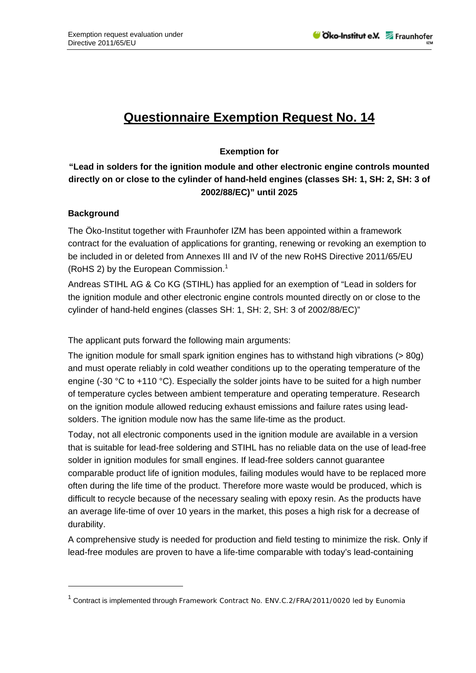# **Questionnaire Exemption Request No. 14**

### **Exemption for**

## **"Lead in solders for the ignition module and other electronic engine controls mounted directly on or close to the cylinder of hand-held engines (classes SH: 1, SH: 2, SH: 3 of 2002/88/EC)" until 2025**

#### **Background**

1

The Öko-Institut together with Fraunhofer IZM has been appointed within a framework contract for the evaluation of applications for granting, renewing or revoking an exemption to be included in or deleted from Annexes III and IV of the new RoHS Directive 2011/65/EU (RoHS 2) by the European Commission.<sup>1</sup>

Andreas STIHL AG & Co KG (STIHL) has applied for an exemption of "Lead in solders for the ignition module and other electronic engine controls mounted directly on or close to the cylinder of hand-held engines (classes SH: 1, SH: 2, SH: 3 of 2002/88/EC)"

The applicant puts forward the following main arguments:

The ignition module for small spark ignition engines has to withstand high vibrations (> 80g) and must operate reliably in cold weather conditions up to the operating temperature of the engine (-30 °C to +110 °C). Especially the solder joints have to be suited for a high number of temperature cycles between ambient temperature and operating temperature. Research on the ignition module allowed reducing exhaust emissions and failure rates using leadsolders. The ignition module now has the same life-time as the product.

Today, not all electronic components used in the ignition module are available in a version that is suitable for lead-free soldering and STIHL has no reliable data on the use of lead-free solder in ignition modules for small engines. If lead-free solders cannot guarantee comparable product life of ignition modules, failing modules would have to be replaced more often during the life time of the product. Therefore more waste would be produced, which is difficult to recycle because of the necessary sealing with epoxy resin. As the products have an average life-time of over 10 years in the market, this poses a high risk for a decrease of durability.

A comprehensive study is needed for production and field testing to minimize the risk. Only if lead-free modules are proven to have a life-time comparable with today's lead-containing

<sup>&</sup>lt;sup>1</sup> Contract is implemented through Framework Contract No. ENV.C.2/FRA/2011/0020 led by Eunomia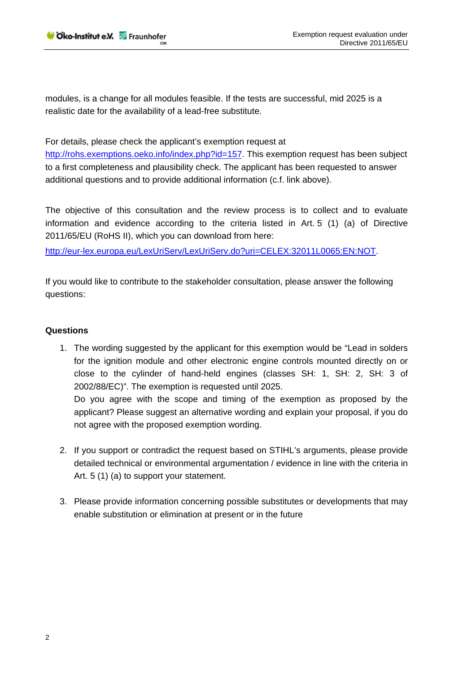modules, is a change for all modules feasible. If the tests are successful, mid 2025 is a realistic date for the availability of a lead-free substitute.

For details, please check the applicant's exemption request at

http://rohs.exemptions.oeko.info/index.php?id=157. This exemption request has been subject to a first completeness and plausibility check. The applicant has been requested to answer additional questions and to provide additional information (c.f. link above).

The objective of this consultation and the review process is to collect and to evaluate information and evidence according to the criteria listed in Art. 5 (1) (a) of Directive 2011/65/EU (RoHS II), which you can download from here:

http://eur-lex.europa.eu/LexUriServ/LexUriServ.do?uri=CELEX:32011L0065:EN:NOT.

If you would like to contribute to the stakeholder consultation, please answer the following questions:

#### **Questions**

1. The wording suggested by the applicant for this exemption would be "Lead in solders for the ignition module and other electronic engine controls mounted directly on or close to the cylinder of hand-held engines (classes SH: 1, SH: 2, SH: 3 of 2002/88/EC)". The exemption is requested until 2025. Do you agree with the scope and timing of the exemption as proposed by the

applicant? Please suggest an alternative wording and explain your proposal, if you do not agree with the proposed exemption wording.

- 2. If you support or contradict the request based on STIHL's arguments, please provide detailed technical or environmental argumentation / evidence in line with the criteria in Art. 5 (1) (a) to support your statement.
- 3. Please provide information concerning possible substitutes or developments that may enable substitution or elimination at present or in the future